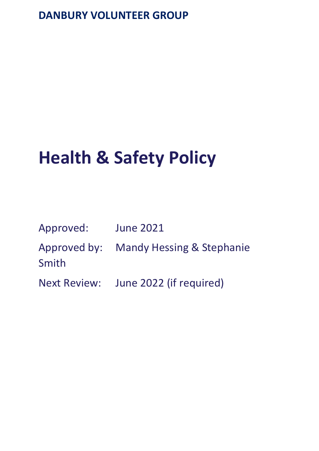# **DANBURY VOLUNTEER GROUP**

# **Health & Safety Policy**

| Approved: | <b>June 2021</b>                       |
|-----------|----------------------------------------|
| Smith     | Approved by: Mandy Hessing & Stephanie |
|           | Next Review: June 2022 (if required)   |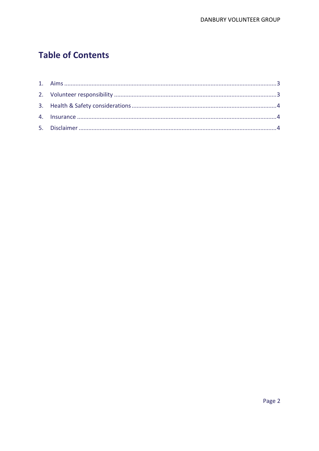# **Table of Contents**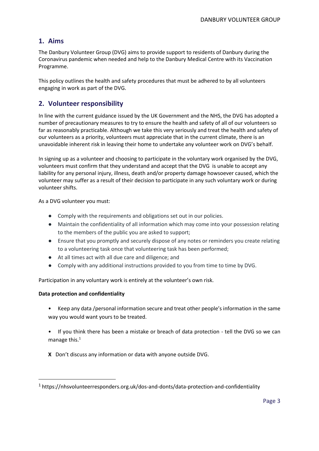# <span id="page-2-0"></span>**1. Aims**

The Danbury Volunteer Group (DVG) aims to provide support to residents of Danbury during the Coronavirus pandemic when needed and help to the Danbury Medical Centre with its Vaccination Programme.

This policy outlines the health and safety procedures that must be adhered to by all volunteers engaging in work as part of the DVG.

# <span id="page-2-1"></span>**2. Volunteer responsibility**

In line with the current guidance issued by the UK Government and the NHS, the DVG has adopted a number of precautionary measures to try to ensure the health and safety of all of our volunteers so far as reasonably practicable. Although we take this very seriously and treat the health and safety of our volunteers as a priority, volunteers must appreciate that in the current climate, there is an unavoidable inherent risk in leaving their home to undertake any volunteer work on DVG's behalf.

In signing up as a volunteer and choosing to participate in the voluntary work organised by the DVG, volunteers must confirm that they understand and accept that the DVG is unable to accept any liability for any personal injury, illness, death and/or property damage howsoever caused, which the volunteer may suffer as a result of their decision to participate in any such voluntary work or during volunteer shifts.

As a DVG volunteer you must:

- Comply with the requirements and obligations set out in our policies.
- Maintain the confidentiality of all information which may come into your possession relating to the members of the public you are asked to support;
- Ensure that you promptly and securely dispose of any notes or reminders you create relating to a volunteering task once that volunteering task has been performed;
- At all times act with all due care and diligence; and
- Comply with any additional instructions provided to you from time to time by DVG.

Participation in any voluntary work is entirely at the volunteer's own risk.

#### **Data protection and confidentiality**

- Keep any data /personal information secure and treat other people's information in the same way you would want yours to be treated.
- If you think there has been a mistake or breach of data protection tell the DVG so we can manage this. $1$
- **X** Don't discuss any information or data with anyone outside DVG.

<sup>1</sup> https://nhsvolunteerresponders.org.uk/dos-and-donts/data-protection-and-confidentiality